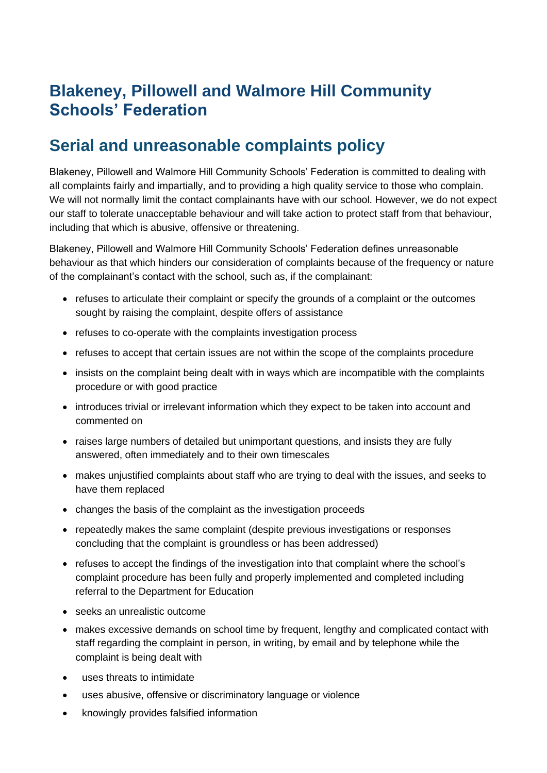## **Blakeney, Pillowell and Walmore Hill Community Schools' Federation**

## **Serial and unreasonable complaints policy**

Blakeney, Pillowell and Walmore Hill Community Schools' Federation is committed to dealing with all complaints fairly and impartially, and to providing a high quality service to those who complain. We will not normally limit the contact complainants have with our school. However, we do not expect our staff to tolerate unacceptable behaviour and will take action to protect staff from that behaviour, including that which is abusive, offensive or threatening.

Blakeney, Pillowell and Walmore Hill Community Schools' Federation defines unreasonable behaviour as that which hinders our consideration of complaints because of the frequency or nature of the complainant's contact with the school, such as, if the complainant:

- refuses to articulate their complaint or specify the grounds of a complaint or the outcomes sought by raising the complaint, despite offers of assistance
- refuses to co-operate with the complaints investigation process
- refuses to accept that certain issues are not within the scope of the complaints procedure
- insists on the complaint being dealt with in ways which are incompatible with the complaints procedure or with good practice
- introduces trivial or irrelevant information which they expect to be taken into account and commented on
- raises large numbers of detailed but unimportant questions, and insists they are fully answered, often immediately and to their own timescales
- makes unjustified complaints about staff who are trying to deal with the issues, and seeks to have them replaced
- changes the basis of the complaint as the investigation proceeds
- repeatedly makes the same complaint (despite previous investigations or responses concluding that the complaint is groundless or has been addressed)
- refuses to accept the findings of the investigation into that complaint where the school's complaint procedure has been fully and properly implemented and completed including referral to the Department for Education
- seeks an unrealistic outcome
- makes excessive demands on school time by frequent, lengthy and complicated contact with staff regarding the complaint in person, in writing, by email and by telephone while the complaint is being dealt with
- uses threats to intimidate
- uses abusive, offensive or discriminatory language or violence
- knowingly provides falsified information